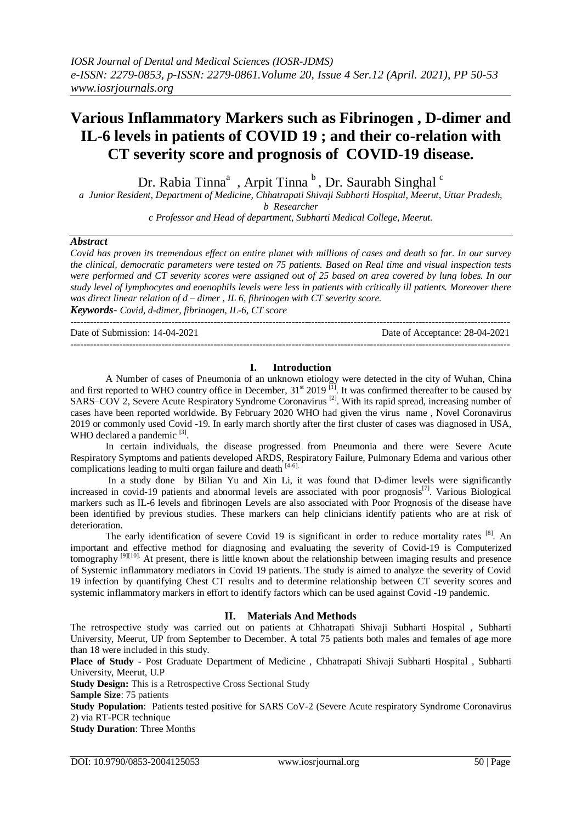# **Various Inflammatory Markers such as Fibrinogen , D-dimer and IL-6 levels in patients of COVID 19 ; and their co-relation with CT severity score and prognosis of COVID-19 disease.**

Dr. Rabia Tinna<sup>a</sup>, Arpit Tinna <sup>b</sup>, Dr. Saurabh Singhal <sup>c</sup>

*a Junior Resident, Department of Medicine, Chhatrapati Shivaji Subharti Hospital, Meerut, Uttar Pradesh, b Researcher*

*c Professor and Head of department, Subharti Medical College, Meerut.*

#### *Abstract*

Covid has proven its tremendous effect on entire planet with millions of cases and death so far. In our survey the clinical, democratic parameters were tested on 75 patients. Based on Real time and visual inspection tests were performed and CT severity scores were assigned out of 25 based on area covered by lung lobes. In our study level of lymphocytes and eoenophils levels were less in patients with critically ill patients. Moreover there *was direct linear relation of d – dimer , IL 6, fibrinogen with CT severity score. Keywords- Covid, d-dimer, fibrinogen, IL-6, CT score*

---------------------------------------------------------------------------------------------------------------------------------------

Date of Submission: 14-04-2021 Date of Acceptance: 28-04-2021

---------------------------------------------------------------------------------------------------------------------------------------

# **I. Introduction**

A Number of cases of Pneumonia of an unknown etiology were detected in the city of Wuhan, China and first reported to WHO country office in December,  $31<sup>st</sup> 2019<sup>[1]</sup>$ . It was confirmed thereafter to be caused by SARS–COV 2, Severe Acute Respiratory Syndrome Coronavirus<sup>[2]</sup>. With its rapid spread, increasing number of cases have been reported worldwide. By February 2020 WHO had given the virus name , Novel Coronavirus 2019 or commonly used Covid -19. In early march shortly after the first cluster of cases was diagnosed in USA, WHO declared a pandemic [3].

In certain individuals, the disease progressed from Pneumonia and there were Severe Acute Respiratory Symptoms and patients developed ARDS, Respiratory Failure, Pulmonary Edema and various other complications leading to multi organ failure and death [4-6].

In a study done by Bilian Yu and Xin Li, it was found that D-dimer levels were significantly increased in covid-19 patients and abnormal levels are associated with poor prognosis<sup>[7]</sup>. Various Biological markers such as IL-6 levels and fibrinogen Levels are also associated with Poor Prognosis of the disease have been identified by previous studies. These markers can help clinicians identify patients who are at risk of deterioration.

The early identification of severe Covid 19 is significant in order to reduce mortality rates <sup>[8]</sup>. An important and effective method for diagnosing and evaluating the severity of Covid-19 is Computerized tomography <sup>[9][10]</sup>. At present, there is little known about the relationship between imaging results and presence of Systemic inflammatory mediators in Covid 19 patients. The study is aimed to analyze the severity of Covid 19 infection by quantifying Chest CT results and to determine relationship between CT severity scores and systemic inflammatory markers in effort to identify factors which can be used against Covid -19 pandemic.

# **II. Materials And Methods**

The retrospective study was carried out on patients at Chhatrapati Shivaji Subharti Hospital , Subharti University, Meerut, UP from September to December. A total 75 patients both males and females of age more than 18 were included in this study.

**Place of Study -** Post Graduate Department of Medicine , Chhatrapati Shivaji Subharti Hospital , Subharti University, Meerut, U.P

**Study Design:** This is a Retrospective Cross Sectional Study

**Sample Size**: 75 patients

**Study Population**: Patients tested positive for SARS CoV-2 (Severe Acute respiratory Syndrome Coronavirus 2) via RT-PCR technique

**Study Duration**: Three Months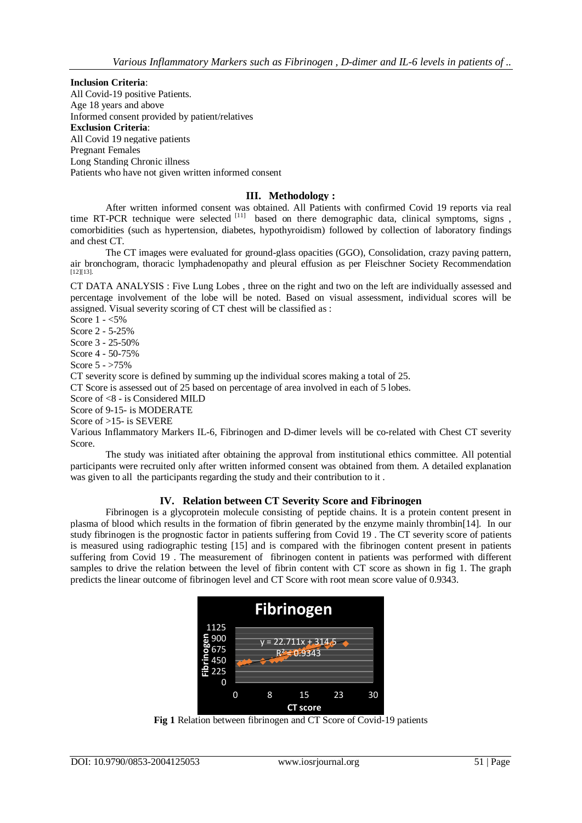**Inclusion Criteria**:

All Covid-19 positive Patients. Age 18 years and above Informed consent provided by patient/relatives **Exclusion Criteria**: All Covid 19 negative patients Pregnant Females Long Standing Chronic illness Patients who have not given written informed consent

# **III. Methodology :**

After written informed consent was obtained. All Patients with confirmed Covid 19 reports via real time RT-PCR technique were selected [11] based on there demographic data, clinical symptoms, signs, comorbidities (such as hypertension, diabetes, hypothyroidism) followed by collection of laboratory findings and chest CT.

The CT images were evaluated for ground-glass opacities (GGO), Consolidation, crazy paving pattern, air bronchogram, thoracic lymphadenopathy and pleural effusion as per Fleischner Society Recommendation  $[12][13]$ .

CT DATA ANALYSIS : Five Lung Lobes , three on the right and two on the left are individually assessed and percentage involvement of the lobe will be noted. Based on visual assessment, individual scores will be assigned. Visual severity scoring of CT chest will be classified as :

Score 1 - <5% Score 2 - 5-25%

Score 3 - 25-50%

Score 4 - 50-75%

Score 5 - >75%

CT severity score is defined by summing up the individual scores making a total of 25.

CT Score is assessed out of 25 based on percentage of area involved in each of 5 lobes.

Score of <8 - is Considered MILD

Score of 9-15- is MODERATE

Score of >15- is SEVERE

Various Inflammatory Markers IL-6, Fibrinogen and D-dimer levels will be co-related with Chest CT severity Score.

The study was initiated after obtaining the approval from institutional ethics committee. All potential participants were recruited only after written informed consent was obtained from them. A detailed explanation was given to all the participants regarding the study and their contribution to it .

# **IV. Relation between CT Severity Score and Fibrinogen**

Fibrinogen is a glycoprotein molecule consisting of peptide chains. It is a protein content present in plasma of blood which results in the formation of fibrin generated by the enzyme mainly thrombin[14]. In our study fibrinogen is the prognostic factor in patients suffering from Covid 19 . The CT severity score of patients is measured using radiographic testing [15] and is compared with the fibrinogen content present in patients suffering from Covid 19 . The measurement of fibrinogen content in patients was performed with different samples to drive the relation between the level of fibrin content with CT score as shown in fig 1. The graph predicts the linear outcome of fibrinogen level and CT Score with root mean score value of 0.9343.



**Fig 1** Relation between fibrinogen and CT Score of Covid-19 patients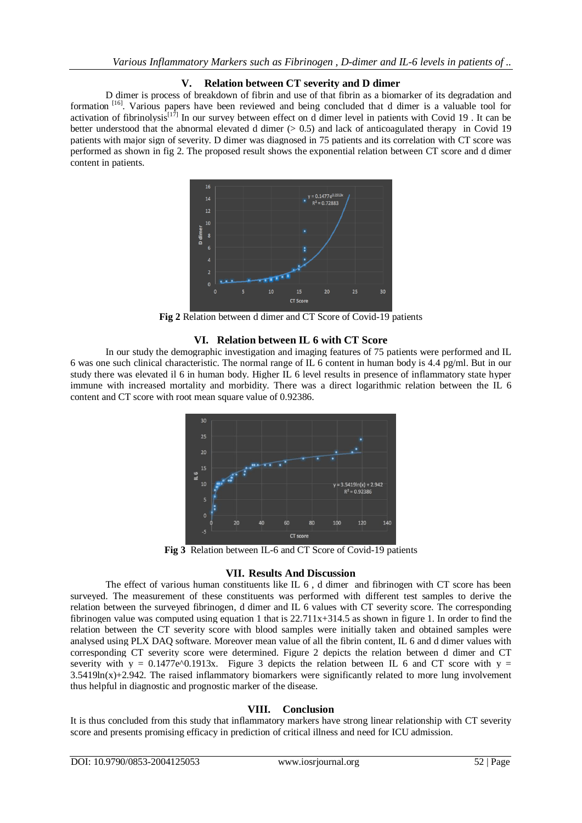# **V. Relation between CT severity and D dimer**

D dimer is process of breakdown of fibrin and use of that fibrin as a biomarker of its degradation and formation <sup>[16]</sup>. Various papers have been reviewed and being concluded that d dimer is a valuable tool for activation of fibrinolysis $\begin{bmatrix} 17 \end{bmatrix}$  In our survey between effect on d dimer level in patients with Covid 19. It can be better understood that the abnormal elevated d dimer  $(> 0.5)$  and lack of anticoagulated therapy in Covid 19 patients with major sign of severity. D dimer was diagnosed in 75 patients and its correlation with CT score was performed as shown in fig 2. The proposed result shows the exponential relation between CT score and d dimer content in patients.



**Fig 2** Relation between d dimer and CT Score of Covid-19 patients

# **VI. Relation between IL 6 with CT Score**

In our study the demographic investigation and imaging features of 75 patients were performed and IL 6 was one such clinical characteristic. The normal range of IL 6 content in human body is 4.4 pg/ml. But in our study there was elevated il 6 in human body. Higher IL 6 level results in presence of inflammatory state hyper immune with increased mortality and morbidity. There was a direct logarithmic relation between the IL 6 content and CT score with root mean square value of 0.92386.



**Fig 3** Relation between IL-6 and CT Score of Covid-19 patients

# **VII. Results And Discussion**

The effect of various human constituents like IL 6 , d dimer and fibrinogen with CT score has been surveyed. The measurement of these constituents was performed with different test samples to derive the relation between the surveyed fibrinogen, d dimer and IL 6 values with CT severity score. The corresponding fibrinogen value was computed using equation 1 that is  $22.711x+314.5$  as shown in figure 1. In order to find the relation between the CT severity score with blood samples were initially taken and obtained samples were analysed using PLX DAQ software. Moreover mean value of all the fibrin content, IL 6 and d dimer values with corresponding CT severity score were determined. Figure 2 depicts the relation between d dimer and CT severity with  $y = 0.1477e^{\lambda}0.1913x$ . Figure 3 depicts the relation between IL 6 and CT score with  $y =$  $3.5419\ln(x) + 2.942$ . The raised inflammatory biomarkers were significantly related to more lung involvement thus helpful in diagnostic and prognostic marker of the disease.

# **VIII. Conclusion**

It is thus concluded from this study that inflammatory markers have strong linear relationship with CT severity score and presents promising efficacy in prediction of critical illness and need for ICU admission.